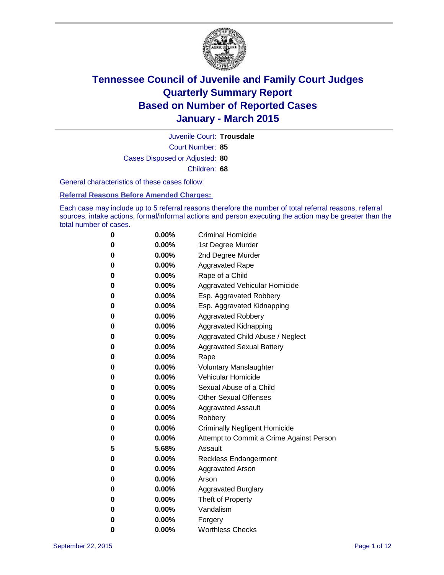

Court Number: **85** Juvenile Court: **Trousdale** Cases Disposed or Adjusted: **80** Children: **68**

General characteristics of these cases follow:

### **Referral Reasons Before Amended Charges:**

Each case may include up to 5 referral reasons therefore the number of total referral reasons, referral sources, intake actions, formal/informal actions and person executing the action may be greater than the total number of cases.

| 0        | $0.00\%$ | <b>Criminal Homicide</b>                 |
|----------|----------|------------------------------------------|
| 0        | $0.00\%$ | 1st Degree Murder                        |
| $\bf{0}$ | $0.00\%$ | 2nd Degree Murder                        |
| 0        | $0.00\%$ | <b>Aggravated Rape</b>                   |
| 0        | $0.00\%$ | Rape of a Child                          |
| 0        | $0.00\%$ | Aggravated Vehicular Homicide            |
| $\bf{0}$ | $0.00\%$ | Esp. Aggravated Robbery                  |
| 0        | $0.00\%$ | Esp. Aggravated Kidnapping               |
| $\bf{0}$ | $0.00\%$ | <b>Aggravated Robbery</b>                |
| $\bf{0}$ | 0.00%    | <b>Aggravated Kidnapping</b>             |
| 0        | 0.00%    | Aggravated Child Abuse / Neglect         |
| 0        | $0.00\%$ | <b>Aggravated Sexual Battery</b>         |
| $\bf{0}$ | $0.00\%$ | Rape                                     |
| 0        | $0.00\%$ | <b>Voluntary Manslaughter</b>            |
| 0        | $0.00\%$ | <b>Vehicular Homicide</b>                |
| $\bf{0}$ | $0.00\%$ | Sexual Abuse of a Child                  |
| $\bf{0}$ | $0.00\%$ | <b>Other Sexual Offenses</b>             |
| 0        | $0.00\%$ | <b>Aggravated Assault</b>                |
| 0        | $0.00\%$ | Robbery                                  |
| 0        | $0.00\%$ | <b>Criminally Negligent Homicide</b>     |
| 0        | $0.00\%$ | Attempt to Commit a Crime Against Person |
| 5        | 5.68%    | Assault                                  |
| 0        | 0.00%    | <b>Reckless Endangerment</b>             |
| 0        | $0.00\%$ | <b>Aggravated Arson</b>                  |
| 0        | $0.00\%$ | Arson                                    |
| $\bf{0}$ | $0.00\%$ | <b>Aggravated Burglary</b>               |
| 0        | $0.00\%$ | Theft of Property                        |
| 0        | $0.00\%$ | Vandalism                                |
| 0        | $0.00\%$ | Forgery                                  |
| 0        | $0.00\%$ | <b>Worthless Checks</b>                  |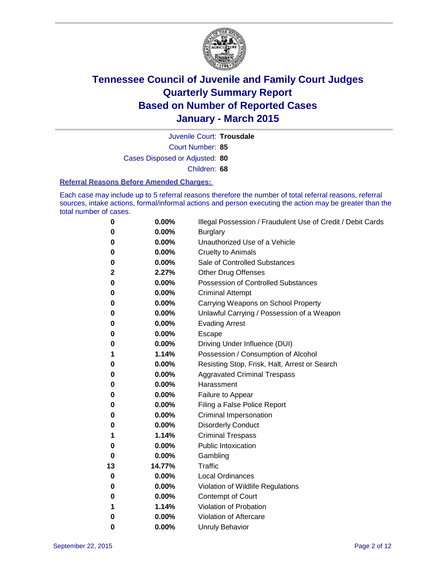

Court Number: **85** Juvenile Court: **Trousdale** Cases Disposed or Adjusted: **80** Children: **68**

#### **Referral Reasons Before Amended Charges:**

Each case may include up to 5 referral reasons therefore the number of total referral reasons, referral sources, intake actions, formal/informal actions and person executing the action may be greater than the total number of cases.

| 0  | 0.00%  | Illegal Possession / Fraudulent Use of Credit / Debit Cards |
|----|--------|-------------------------------------------------------------|
| 0  | 0.00%  | <b>Burglary</b>                                             |
| 0  | 0.00%  | Unauthorized Use of a Vehicle                               |
| 0  | 0.00%  | <b>Cruelty to Animals</b>                                   |
| 0  | 0.00%  | Sale of Controlled Substances                               |
| 2  | 2.27%  | <b>Other Drug Offenses</b>                                  |
| 0  | 0.00%  | Possession of Controlled Substances                         |
| 0  | 0.00%  | <b>Criminal Attempt</b>                                     |
| 0  | 0.00%  | Carrying Weapons on School Property                         |
| 0  | 0.00%  | Unlawful Carrying / Possession of a Weapon                  |
| 0  | 0.00%  | <b>Evading Arrest</b>                                       |
| 0  | 0.00%  | Escape                                                      |
| 0  | 0.00%  | Driving Under Influence (DUI)                               |
| 1  | 1.14%  | Possession / Consumption of Alcohol                         |
| 0  | 0.00%  | Resisting Stop, Frisk, Halt, Arrest or Search               |
| 0  | 0.00%  | <b>Aggravated Criminal Trespass</b>                         |
| 0  | 0.00%  | Harassment                                                  |
| 0  | 0.00%  | Failure to Appear                                           |
| 0  | 0.00%  | Filing a False Police Report                                |
| 0  | 0.00%  | Criminal Impersonation                                      |
| 0  | 0.00%  | <b>Disorderly Conduct</b>                                   |
| 1  | 1.14%  | <b>Criminal Trespass</b>                                    |
| 0  | 0.00%  | <b>Public Intoxication</b>                                  |
| 0  | 0.00%  | Gambling                                                    |
| 13 | 14.77% | <b>Traffic</b>                                              |
| 0  | 0.00%  | <b>Local Ordinances</b>                                     |
| 0  | 0.00%  | Violation of Wildlife Regulations                           |
| 0  | 0.00%  | Contempt of Court                                           |
| 1  | 1.14%  | Violation of Probation                                      |
| 0  | 0.00%  | Violation of Aftercare                                      |
| 0  | 0.00%  | <b>Unruly Behavior</b>                                      |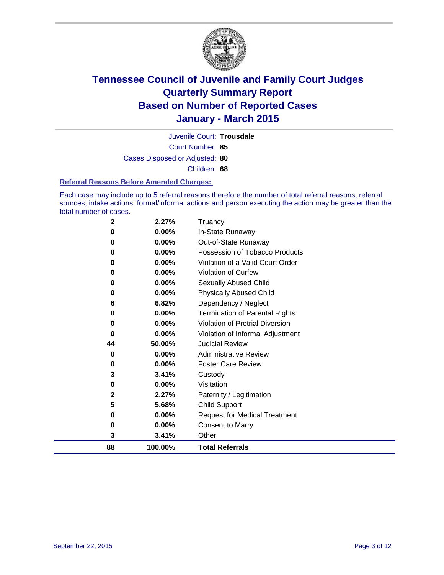

Court Number: **85** Juvenile Court: **Trousdale** Cases Disposed or Adjusted: **80** Children: **68**

#### **Referral Reasons Before Amended Charges:**

Each case may include up to 5 referral reasons therefore the number of total referral reasons, referral sources, intake actions, formal/informal actions and person executing the action may be greater than the total number of cases.

| $\mathbf{2}$ | 2.27%    | Truancy                                |
|--------------|----------|----------------------------------------|
| 0            | 0.00%    | In-State Runaway                       |
| 0            | 0.00%    | Out-of-State Runaway                   |
| 0            | 0.00%    | Possession of Tobacco Products         |
| 0            | 0.00%    | Violation of a Valid Court Order       |
| 0            | 0.00%    | <b>Violation of Curfew</b>             |
| 0            | 0.00%    | Sexually Abused Child                  |
| 0            | 0.00%    | <b>Physically Abused Child</b>         |
| 6            | 6.82%    | Dependency / Neglect                   |
| 0            | 0.00%    | <b>Termination of Parental Rights</b>  |
| 0            | 0.00%    | <b>Violation of Pretrial Diversion</b> |
| 0            | 0.00%    | Violation of Informal Adjustment       |
| 44           | 50.00%   | <b>Judicial Review</b>                 |
| 0            | $0.00\%$ | <b>Administrative Review</b>           |
| 0            | 0.00%    | <b>Foster Care Review</b>              |
| 3            | 3.41%    | Custody                                |
| 0            | $0.00\%$ | Visitation                             |
| $\mathbf{2}$ | 2.27%    | Paternity / Legitimation               |
| 5            | 5.68%    | <b>Child Support</b>                   |
| 0            | 0.00%    | <b>Request for Medical Treatment</b>   |
| $\bf{0}$     | 0.00%    | <b>Consent to Marry</b>                |
| 3            | 3.41%    | Other                                  |
| 88           | 100.00%  | <b>Total Referrals</b>                 |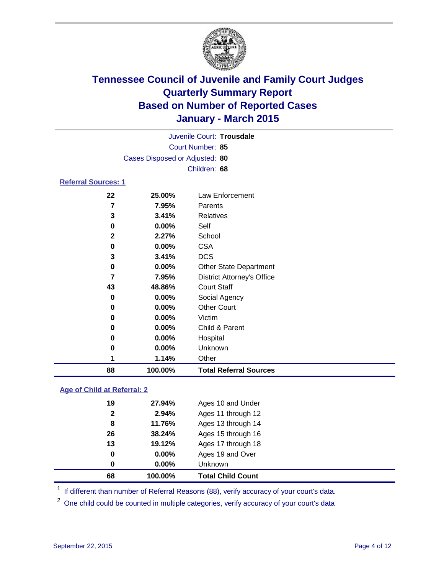

| Juvenile Court: Trousdale      |
|--------------------------------|
| Court Number: 85               |
| Cases Disposed or Adjusted: 80 |
| Children: 68                   |
| <b>Referral Sources: 1</b>     |

| 88           | 100.00%  | <b>Total Referral Sources</b>     |
|--------------|----------|-----------------------------------|
| 1            | 1.14%    | Other                             |
| 0            | $0.00\%$ | Unknown                           |
| 0            | $0.00\%$ | Hospital                          |
| 0            | $0.00\%$ | Child & Parent                    |
| 0            | 0.00%    | Victim                            |
| 0            | $0.00\%$ | <b>Other Court</b>                |
| 0            | $0.00\%$ | Social Agency                     |
| 43           | 48.86%   | <b>Court Staff</b>                |
| 7            | 7.95%    | <b>District Attorney's Office</b> |
| 0            | $0.00\%$ | <b>Other State Department</b>     |
| 3            | 3.41%    | <b>DCS</b>                        |
| 0            | 0.00%    | <b>CSA</b>                        |
| $\mathbf{2}$ | 2.27%    | School                            |
| 0            | $0.00\%$ | Self                              |
| 3            | 3.41%    | <b>Relatives</b>                  |
| 7            | 7.95%    | Parents                           |
| 22           | 25.00%   | Law Enforcement                   |

### **Age of Child at Referral: 2**

| 68           | 100.00%  | <b>Total Child Count</b> |  |
|--------------|----------|--------------------------|--|
| 0            | $0.00\%$ | <b>Unknown</b>           |  |
| 0            | $0.00\%$ | Ages 19 and Over         |  |
| 13           | 19.12%   | Ages 17 through 18       |  |
| 26           | 38.24%   | Ages 15 through 16       |  |
| 8            | 11.76%   | Ages 13 through 14       |  |
| $\mathbf{2}$ | 2.94%    | Ages 11 through 12       |  |
| 19           | 27.94%   | Ages 10 and Under        |  |
|              |          |                          |  |

<sup>1</sup> If different than number of Referral Reasons (88), verify accuracy of your court's data.

One child could be counted in multiple categories, verify accuracy of your court's data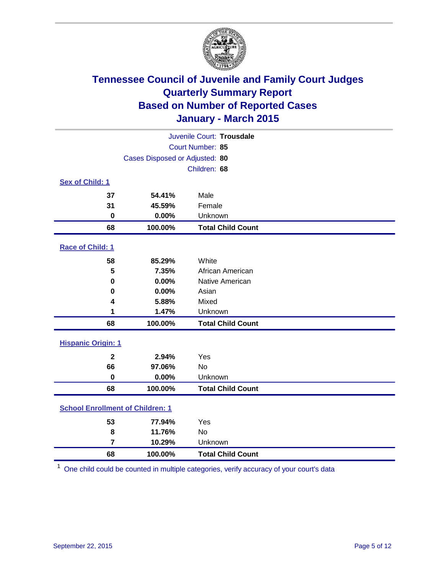

| Juvenile Court: Trousdale               |                                |                          |  |  |
|-----------------------------------------|--------------------------------|--------------------------|--|--|
|                                         | Court Number: 85               |                          |  |  |
|                                         | Cases Disposed or Adjusted: 80 |                          |  |  |
|                                         |                                | Children: 68             |  |  |
| Sex of Child: 1                         |                                |                          |  |  |
| 37                                      | 54.41%                         | Male                     |  |  |
| 31                                      | 45.59%                         | Female                   |  |  |
| 0                                       | 0.00%                          | Unknown                  |  |  |
| 68                                      | 100.00%                        | <b>Total Child Count</b> |  |  |
| Race of Child: 1                        |                                |                          |  |  |
| 58                                      | 85.29%                         | White                    |  |  |
| 5                                       | 7.35%                          | African American         |  |  |
| $\bf{0}$                                | 0.00%                          | Native American          |  |  |
| $\bf{0}$                                | 0.00%                          | Asian                    |  |  |
| 4                                       | 5.88%                          | Mixed                    |  |  |
| 1                                       | 1.47%                          | Unknown                  |  |  |
| 68                                      | 100.00%                        | <b>Total Child Count</b> |  |  |
| <b>Hispanic Origin: 1</b>               |                                |                          |  |  |
| $\overline{\mathbf{2}}$                 | 2.94%                          | Yes                      |  |  |
| 66                                      | 97.06%                         | <b>No</b>                |  |  |
| $\bf{0}$                                | 0.00%                          | Unknown                  |  |  |
| 68                                      | 100.00%                        | <b>Total Child Count</b> |  |  |
| <b>School Enrollment of Children: 1</b> |                                |                          |  |  |
| 53                                      | 77.94%                         | Yes                      |  |  |
| 8                                       | 11.76%                         | <b>No</b>                |  |  |
| 7                                       | 10.29%                         | Unknown                  |  |  |
| 68                                      | 100.00%                        | <b>Total Child Count</b> |  |  |

One child could be counted in multiple categories, verify accuracy of your court's data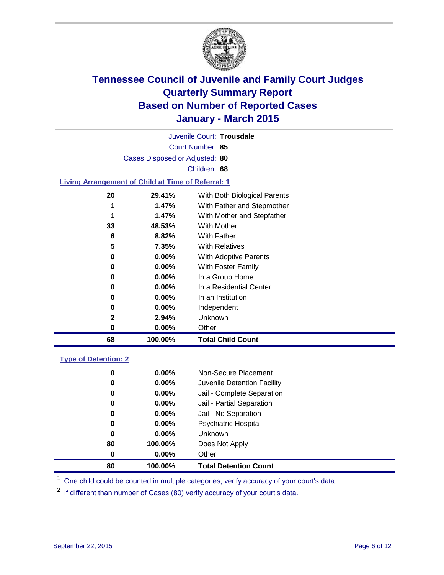

Court Number: **85** Juvenile Court: **Trousdale** Cases Disposed or Adjusted: **80** Children: **68**

### **Living Arrangement of Child at Time of Referral: 1**

| 68 | 100.00%  | <b>Total Child Count</b>     |
|----|----------|------------------------------|
| 0  | $0.00\%$ | Other                        |
| 2  | 2.94%    | Unknown                      |
| 0  | $0.00\%$ | Independent                  |
| 0  | $0.00\%$ | In an Institution            |
| 0  | $0.00\%$ | In a Residential Center      |
| 0  | $0.00\%$ | In a Group Home              |
| 0  | $0.00\%$ | With Foster Family           |
| 0  | $0.00\%$ | With Adoptive Parents        |
| 5  | 7.35%    | <b>With Relatives</b>        |
| 6  | 8.82%    | With Father                  |
| 33 | 48.53%   | With Mother                  |
| 1  | 1.47%    | With Mother and Stepfather   |
| 1  | 1.47%    | With Father and Stepmother   |
| 20 | 29.41%   | With Both Biological Parents |
|    |          |                              |

### **Type of Detention: 2**

| 0  | $0.00\%$ | Non-Secure Placement         |  |
|----|----------|------------------------------|--|
| 0  | $0.00\%$ | Juvenile Detention Facility  |  |
| 0  | $0.00\%$ | Jail - Complete Separation   |  |
| 0  | 0.00%    | Jail - Partial Separation    |  |
| 0  | $0.00\%$ | Jail - No Separation         |  |
| 0  | $0.00\%$ | <b>Psychiatric Hospital</b>  |  |
| 0  | $0.00\%$ | Unknown                      |  |
| 80 | 100.00%  | Does Not Apply               |  |
| 0  | $0.00\%$ | Other                        |  |
| 80 | 100.00%  | <b>Total Detention Count</b> |  |

<sup>1</sup> One child could be counted in multiple categories, verify accuracy of your court's data

If different than number of Cases (80) verify accuracy of your court's data.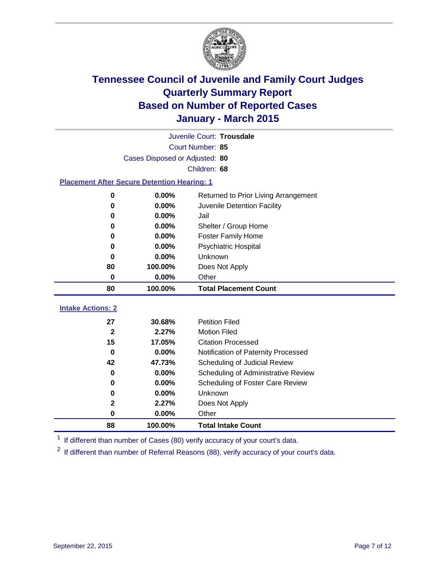

| Juvenile Court: Trousdale                          |                                |                                      |  |  |  |
|----------------------------------------------------|--------------------------------|--------------------------------------|--|--|--|
|                                                    | <b>Court Number: 85</b>        |                                      |  |  |  |
|                                                    | Cases Disposed or Adjusted: 80 |                                      |  |  |  |
|                                                    |                                | Children: 68                         |  |  |  |
| <b>Placement After Secure Detention Hearing: 1</b> |                                |                                      |  |  |  |
| $\mathbf 0$                                        | 0.00%                          | Returned to Prior Living Arrangement |  |  |  |
| 0                                                  | $0.00\%$                       | Juvenile Detention Facility          |  |  |  |
| 0                                                  | $0.00\%$                       | Jail                                 |  |  |  |
| $\bf{0}$                                           | $0.00\%$                       | Shelter / Group Home                 |  |  |  |
| $\bf{0}$                                           | 0.00%                          | <b>Foster Family Home</b>            |  |  |  |
| 0                                                  | 0.00%                          | <b>Psychiatric Hospital</b>          |  |  |  |
| 0                                                  | $0.00\%$                       | <b>Unknown</b>                       |  |  |  |
| 80                                                 | 100.00%                        | Does Not Apply                       |  |  |  |
| 0                                                  | 0.00%                          | Other                                |  |  |  |
| 80                                                 | 100.00%                        | <b>Total Placement Count</b>         |  |  |  |
| <b>Intake Actions: 2</b>                           |                                |                                      |  |  |  |
| 27                                                 | 30.68%                         | <b>Petition Filed</b>                |  |  |  |
| $\mathbf{2}$                                       | 2.27%                          | <b>Motion Filed</b>                  |  |  |  |
| 15                                                 | 17.05%                         | <b>Citation Processed</b>            |  |  |  |
| $\bf{0}$                                           | 0.00%                          | Notification of Paternity Processed  |  |  |  |
| 42                                                 | 47.73%                         | Scheduling of Judicial Review        |  |  |  |
| 0                                                  | $0.00\%$                       | Scheduling of Administrative Review  |  |  |  |
| 0                                                  | 0.00%                          | Scheduling of Foster Care Review     |  |  |  |
| 0                                                  | 0.00%                          | Unknown                              |  |  |  |

<sup>1</sup> If different than number of Cases (80) verify accuracy of your court's data.

**0.00%** Other

**2.27%** Does Not Apply

**100.00% Total Intake Count**

<sup>2</sup> If different than number of Referral Reasons (88), verify accuracy of your court's data.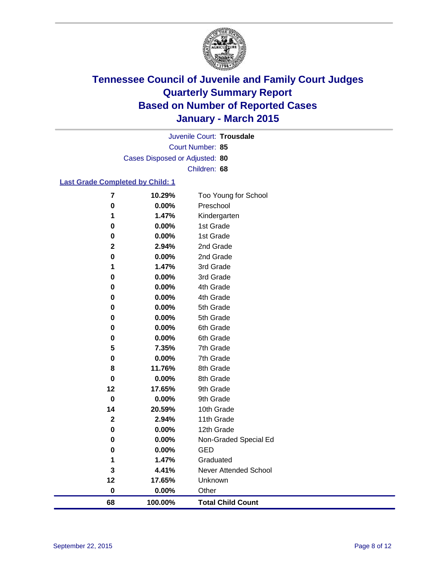

Court Number: **85** Juvenile Court: **Trousdale** Cases Disposed or Adjusted: **80** Children: **68**

### **Last Grade Completed by Child: 1**

| 68                       | 100.00%        | <b>Total Child Count</b>     |
|--------------------------|----------------|------------------------------|
| 0                        | 0.00%          | Other                        |
| 12                       | 17.65%         | Unknown                      |
| 3                        | 4.41%          | <b>Never Attended School</b> |
| 1                        | 1.47%          | Graduated                    |
| 0                        | 0.00%          | <b>GED</b>                   |
| 0                        | 0.00%          | Non-Graded Special Ed        |
| 0                        | 0.00%          | 12th Grade                   |
| $\mathbf 2$              | 2.94%          | 11th Grade                   |
| 14                       | 20.59%         | 10th Grade                   |
| 0                        | 0.00%          | 9th Grade                    |
| 12                       | 17.65%         | 9th Grade                    |
| 0                        | 0.00%          | 8th Grade                    |
| 8                        | 11.76%         | 8th Grade                    |
| 0                        | 0.00%          | 7th Grade                    |
| 5                        | 7.35%          | 7th Grade                    |
| 0                        | 0.00%          | 6th Grade                    |
| 0                        | 0.00%          | 6th Grade                    |
| 0                        | 0.00%          | 5th Grade                    |
| 0                        | 0.00%          | 5th Grade                    |
| 0                        | 0.00%          | 4th Grade                    |
| 0                        | 0.00%          | 4th Grade                    |
| 0                        | 0.00%          | 3rd Grade                    |
| 1                        | 1.47%          | 3rd Grade                    |
| $\mathbf 2$<br>$\pmb{0}$ | 2.94%<br>0.00% | 2nd Grade<br>2nd Grade       |
| 0                        | 0.00%          | 1st Grade                    |
| 0                        | 0.00%          | 1st Grade                    |
| 1                        | 1.47%          | Kindergarten                 |
| $\bf{0}$                 | 0.00%          | Preschool                    |
| 7                        | 10.29%         | Too Young for School         |
|                          |                |                              |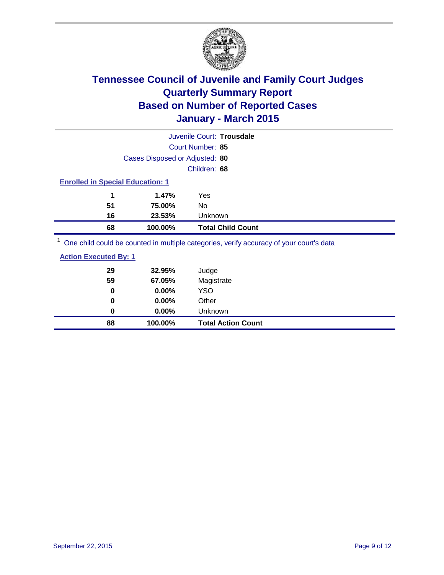

|                                                                                         |                                         | Juvenile Court: Trousdale |  |  |  |
|-----------------------------------------------------------------------------------------|-----------------------------------------|---------------------------|--|--|--|
|                                                                                         |                                         | Court Number: 85          |  |  |  |
|                                                                                         | Cases Disposed or Adjusted: 80          |                           |  |  |  |
|                                                                                         |                                         | Children: 68              |  |  |  |
|                                                                                         | <b>Enrolled in Special Education: 1</b> |                           |  |  |  |
| 1                                                                                       | 1.47%                                   | Yes                       |  |  |  |
| 51                                                                                      | 75.00%                                  | No                        |  |  |  |
| 16                                                                                      | 23.53%                                  | Unknown                   |  |  |  |
| 68                                                                                      | 100.00%                                 | <b>Total Child Count</b>  |  |  |  |
| One child could be counted in multiple categories, verify accuracy of your court's data |                                         |                           |  |  |  |

| 88                           | 100.00% | <b>Total Action Count</b> |
|------------------------------|---------|---------------------------|
| 0                            | 0.00%   | <b>Unknown</b>            |
| 0                            | 0.00%   | Other                     |
| 0                            | 0.00%   | <b>YSO</b>                |
| 59                           | 67.05%  | Magistrate                |
| 29                           | 32.95%  | Judge                     |
| <b>Action Executed By: 1</b> |         |                           |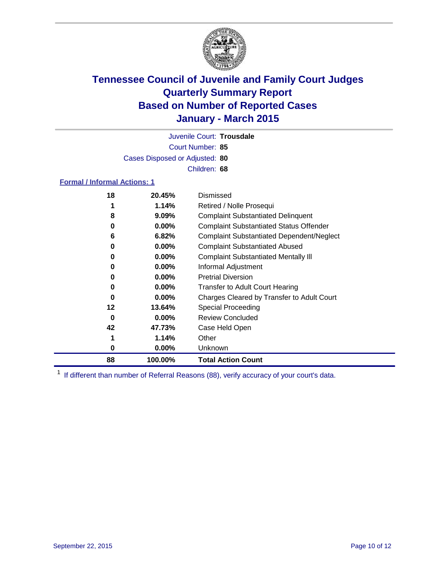

Court Number: **85** Juvenile Court: **Trousdale** Cases Disposed or Adjusted: **80** Children: **68**

### **Formal / Informal Actions: 1**

| 18 | 20.45%   | Dismissed                                        |
|----|----------|--------------------------------------------------|
|    | 1.14%    | Retired / Nolle Prosequi                         |
| 8  | $9.09\%$ | <b>Complaint Substantiated Delinquent</b>        |
| 0  | $0.00\%$ | <b>Complaint Substantiated Status Offender</b>   |
| 6  | 6.82%    | <b>Complaint Substantiated Dependent/Neglect</b> |
| 0  | $0.00\%$ | <b>Complaint Substantiated Abused</b>            |
| 0  | $0.00\%$ | <b>Complaint Substantiated Mentally III</b>      |
| 0  | $0.00\%$ | Informal Adjustment                              |
| 0  | $0.00\%$ | <b>Pretrial Diversion</b>                        |
| 0  | $0.00\%$ | <b>Transfer to Adult Court Hearing</b>           |
| 0  | $0.00\%$ | Charges Cleared by Transfer to Adult Court       |
| 12 | 13.64%   | Special Proceeding                               |
| 0  | $0.00\%$ | <b>Review Concluded</b>                          |
| 42 | 47.73%   | Case Held Open                                   |
| 1  | 1.14%    | Other                                            |
| 0  | $0.00\%$ | <b>Unknown</b>                                   |
| 88 | 100.00%  | <b>Total Action Count</b>                        |

<sup>1</sup> If different than number of Referral Reasons (88), verify accuracy of your court's data.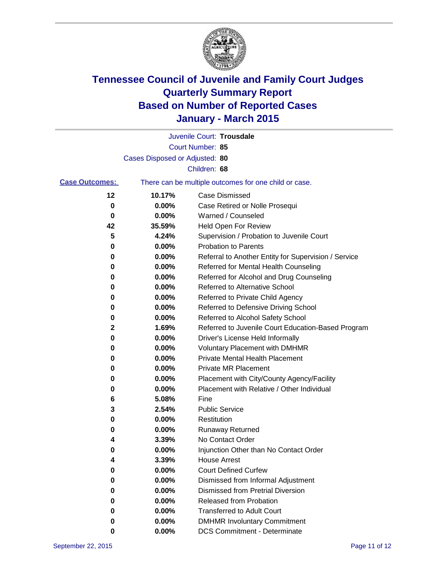

|                       |                                | Juvenile Court: Trousdale                             |
|-----------------------|--------------------------------|-------------------------------------------------------|
|                       |                                | Court Number: 85                                      |
|                       | Cases Disposed or Adjusted: 80 |                                                       |
|                       |                                | Children: 68                                          |
| <b>Case Outcomes:</b> |                                | There can be multiple outcomes for one child or case. |
| 12                    | 10.17%                         | <b>Case Dismissed</b>                                 |
| 0                     | 0.00%                          | Case Retired or Nolle Prosequi                        |
| 0                     | 0.00%                          | Warned / Counseled                                    |
| 42                    | 35.59%                         | <b>Held Open For Review</b>                           |
| 5                     | 4.24%                          | Supervision / Probation to Juvenile Court             |
| 0                     | 0.00%                          | <b>Probation to Parents</b>                           |
| 0                     | 0.00%                          | Referral to Another Entity for Supervision / Service  |
| 0                     | 0.00%                          | Referred for Mental Health Counseling                 |
| 0                     | 0.00%                          | Referred for Alcohol and Drug Counseling              |
| 0                     | 0.00%                          | <b>Referred to Alternative School</b>                 |
| 0                     | 0.00%                          | Referred to Private Child Agency                      |
| 0                     | 0.00%                          | Referred to Defensive Driving School                  |
| 0                     | 0.00%                          | Referred to Alcohol Safety School                     |
| 2                     | 1.69%                          | Referred to Juvenile Court Education-Based Program    |
| 0                     | 0.00%                          | Driver's License Held Informally                      |
| 0                     | 0.00%                          | <b>Voluntary Placement with DMHMR</b>                 |
| 0                     | 0.00%                          | <b>Private Mental Health Placement</b>                |
| 0                     | 0.00%                          | <b>Private MR Placement</b>                           |
| 0                     | 0.00%                          | Placement with City/County Agency/Facility            |
| 0                     | 0.00%                          | Placement with Relative / Other Individual            |
| 6                     | 5.08%                          | Fine                                                  |
| 3                     | 2.54%                          | <b>Public Service</b>                                 |
| 0                     | 0.00%                          | Restitution                                           |
| 0                     | 0.00%                          | <b>Runaway Returned</b>                               |
| 4                     | 3.39%                          | No Contact Order                                      |
| 0                     | 0.00%                          | Injunction Other than No Contact Order                |
| 4                     | 3.39%                          | House Arrest                                          |
| 0                     | 0.00%                          | <b>Court Defined Curfew</b>                           |
| 0                     | 0.00%                          | Dismissed from Informal Adjustment                    |
| 0                     | 0.00%                          | <b>Dismissed from Pretrial Diversion</b>              |
| 0                     | 0.00%                          | Released from Probation                               |
| 0                     | 0.00%                          | <b>Transferred to Adult Court</b>                     |
| 0                     | 0.00%                          | <b>DMHMR Involuntary Commitment</b>                   |
| 0                     | 0.00%                          | <b>DCS Commitment - Determinate</b>                   |